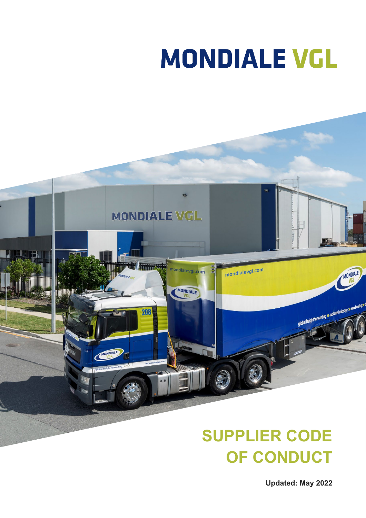# **MONDIALE VGL**



# **SUPPLIER CODE OF CONDUCT**

**Updated: May 2022**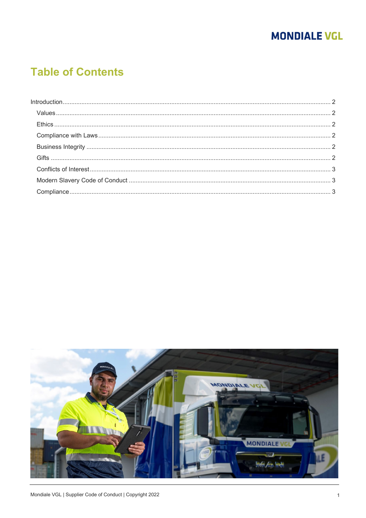# **MONDIALE VGL**

# **Table of Contents**

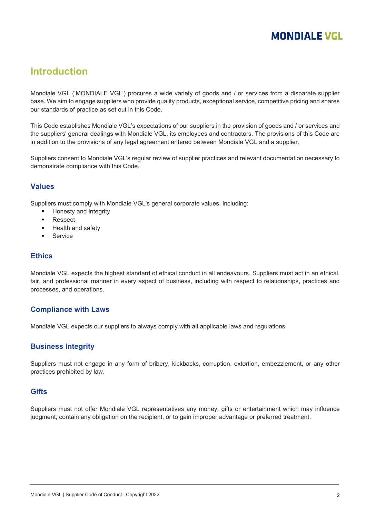## **MONDIALE VGL**

### <span id="page-2-0"></span>**Introduction**

Mondiale VGL ('MONDIALE VGL') procures a wide variety of goods and / or services from a disparate supplier base. We aim to engage suppliers who provide quality products, exceptional service, competitive pricing and shares our standards of practice as set out in this Code.

This Code establishes Mondiale VGL's expectations of our suppliers in the provision of goods and / or services and the suppliers' general dealings with Mondiale VGL, its employees and contractors. The provisions of this Code are in addition to the provisions of any legal agreement entered between Mondiale VGL and a supplier.

Suppliers consent to Mondiale VGL's regular review of supplier practices and relevant documentation necessary to demonstrate compliance with this Code.

#### <span id="page-2-1"></span>**Values**

Suppliers must comply with Mondiale VGL's general corporate values, including:

- Honesty and integrity
- Respect
- Health and safety
- **Service**

#### <span id="page-2-2"></span>**Ethics**

Mondiale VGL expects the highest standard of ethical conduct in all endeavours. Suppliers must act in an ethical, fair, and professional manner in every aspect of business, including with respect to relationships, practices and processes, and operations.

#### <span id="page-2-3"></span>**Compliance with Laws**

<span id="page-2-4"></span>Mondiale VGL expects our suppliers to always comply with all applicable laws and regulations.

#### **Business Integrity**

Suppliers must not engage in any form of bribery, kickbacks, corruption, extortion, embezzlement, or any other practices prohibited by law.

#### <span id="page-2-5"></span>**Gifts**

Suppliers must not offer Mondiale VGL representatives any money, gifts or entertainment which may influence judgment, contain any obligation on the recipient, or to gain improper advantage or preferred treatment.